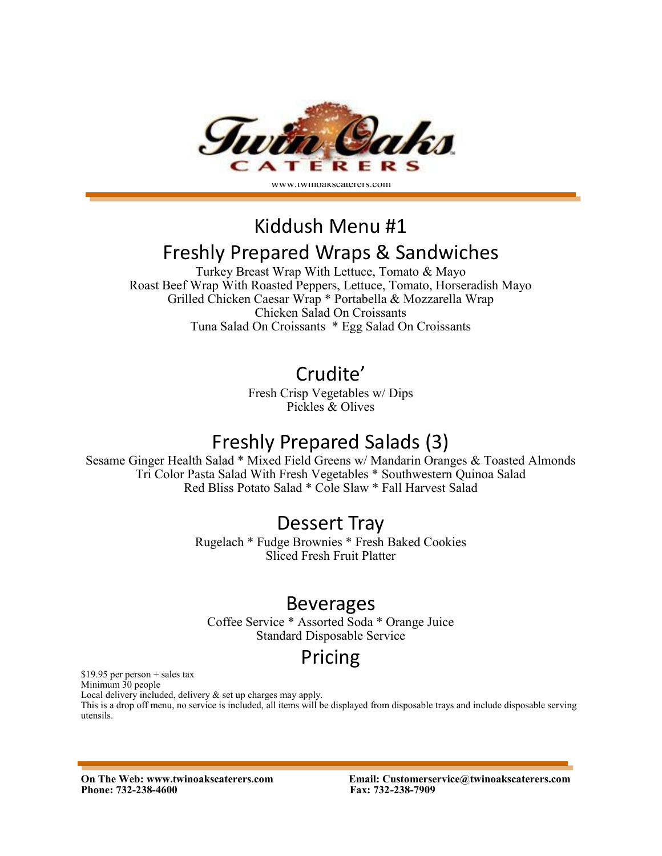

# Kiddush Menu #1 Freshly Prepared Wraps & Sandwiches

Turkey Breast Wrap With Lettuce, Tomato & Mayo Roast Beef Wrap With Roasted Peppers, Lettuce, Tomato, Horseradish Mayo Grilled Chicken Caesar Wrap \* Portabella & Mozzarella Wrap Chicken Salad On Croissants Tuna Salad On Croissants \* Egg Salad On Croissants

### Crudite'

Fresh Crisp Vegetables w/ Dips Pickles & Olives

# Freshly Prepared Salads (3)

Sesame Ginger Health Salad \* Mixed Field Greens w/ Mandarin Oranges & Toasted Almonds Tri Color Pasta Salad With Fresh Vegetables \* Southwestern Quinoa Salad Red Bliss Potato Salad \* Cole Slaw \* Fall Harvest Salad

### Dessert Tray

Rugelach \* Fudge Brownies \* Fresh Baked Cookies Sliced Fresh Fruit Platter

#### Beverages

Coffee Service \* Assorted Soda \* Orange Juice Standard Disposable Service

# Pricing

\$19.95 per person + sales tax

Minimum 30 people

Local delivery included, delivery & set up charges may apply.

This is a drop off menu, no service is included, all items will be displayed from disposable trays and include disposable serving utensils.

**Phone: 732-238-4600 Fax: 732-238-7909**

**On The Web: www.twinoakscaterers.com Email: Customerservice@twinoakscaterers.com**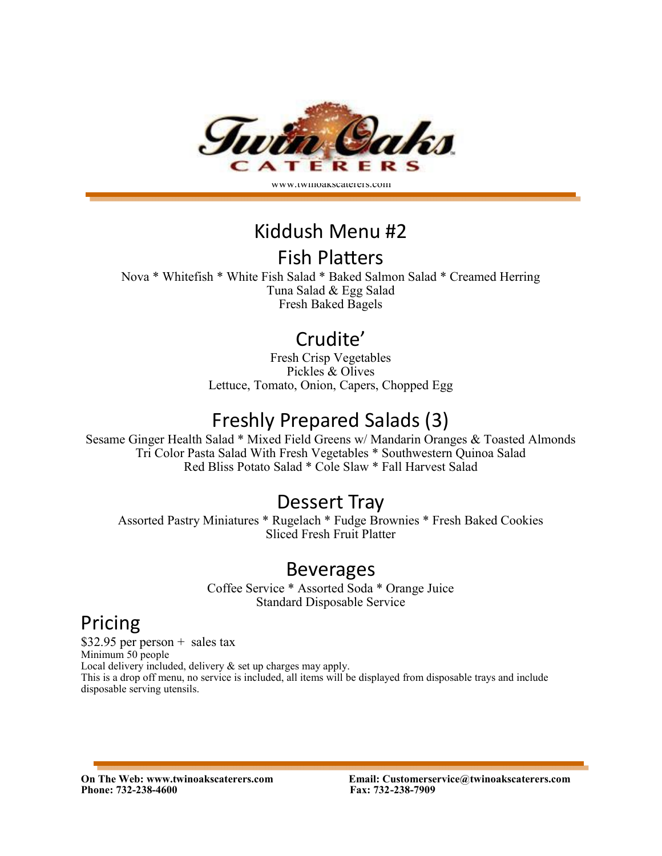

www.twinoakscaterers.com

## Kiddush Menu #2

#### Fish Platters

Nova \* Whitefish \* White Fish Salad \* Baked Salmon Salad \* Creamed Herring Tuna Salad & Egg Salad Fresh Baked Bagels

# Crudite'

Fresh Crisp Vegetables Pickles & Olives Lettuce, Tomato, Onion, Capers, Chopped Egg

# Freshly Prepared Salads (3)

Sesame Ginger Health Salad \* Mixed Field Greens w/ Mandarin Oranges & Toasted Almonds Tri Color Pasta Salad With Fresh Vegetables \* Southwestern Quinoa Salad Red Bliss Potato Salad \* Cole Slaw \* Fall Harvest Salad

### Dessert Tray

Assorted Pastry Miniatures \* Rugelach \* Fudge Brownies \* Fresh Baked Cookies Sliced Fresh Fruit Platter

#### Beverages

Coffee Service \* Assorted Soda \* Orange Juice Standard Disposable Service

# Pricing

 $$32.95$  per person + sales tax Minimum 50 people Local delivery included, delivery & set up charges may apply. This is a drop off menu, no service is included, all items will be displayed from disposable trays and include disposable serving utensils.

**Phone: 732-238-4600 Fax: 732-238-7909**

**On The Web: www.twinoakscaterers.com Email: Customerservice@twinoakscaterers.com**